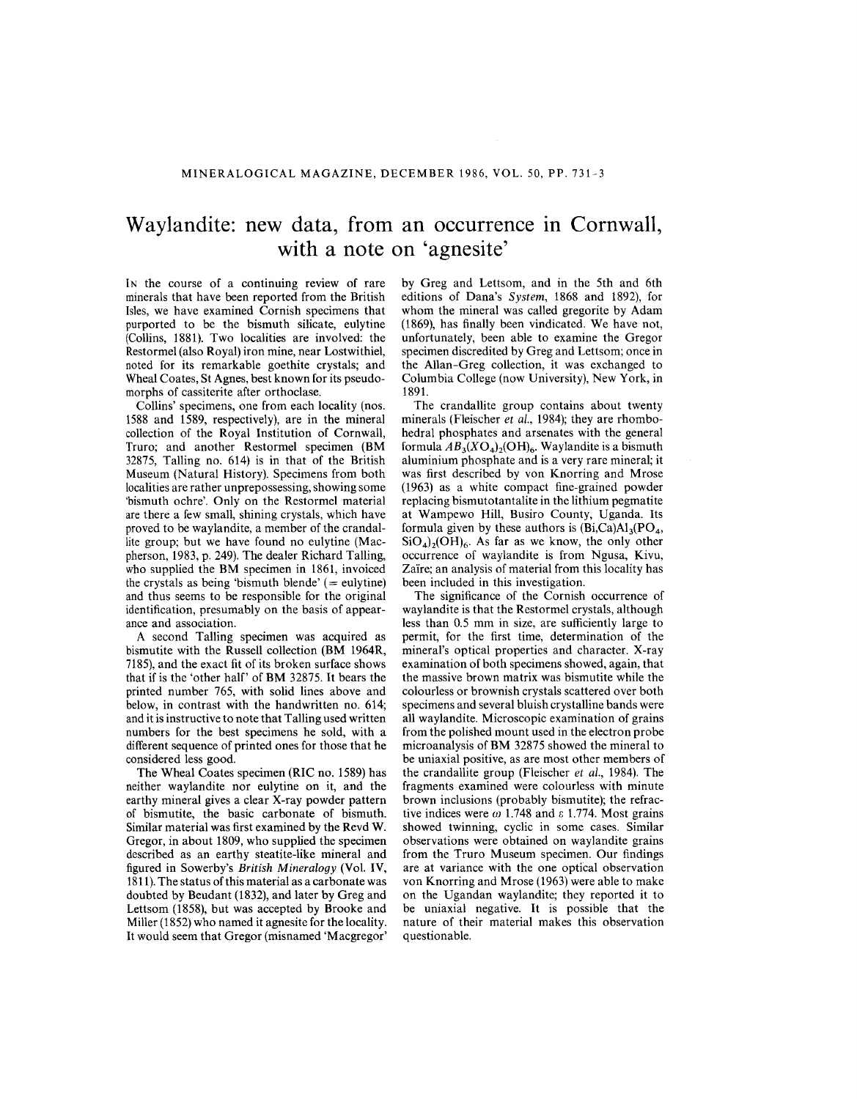## **Waylandite: new data, from an occurrence In Cornwall, with a note on 'agnesite'**

IN the course of a continuing review of rare minerals that have been reported from the British Isles, we have examined Cornish specimens that purported to be the bismuth silicate, eulytine (Collins, 1881). Two localities are involved: the Restormel (also Royal) iron mine, near Lostwithiel, noted for its remarkable goethite crystals; and Wheal Coates, St Agnes, best known for its pseudomorphs of cassiterite after orthoclase.

Collins' specimens, one from each locality (nos. 1588 and 1589, respectively), are in the mineral collection of the Royal Institution of Cornwall, Truro; and another Restormel specimen (BM 32875, TaIling no. 614) is in that of the British Museum (Natural History). Specimens from both localities are rather unprepossessing, showing some 'bismuth ochre'. Only on the Restormel material are there a few small, shining crystals, which have proved to be waylandite, a member of the crandallite group; but we have found no eulytine (Macpherson, 1983, p. 249). The dealer Richard TaIling, who supplied the BM specimen in 1861, invoiced the crystals as being 'bismuth blende'  $($  = eulytine) and thus seems to be responsible for the original identification, presumably on the basis of appearance and association.

A second TaIling specimen was acquired as bismutite with the Russell collection (BM 1964R, 7185), and the exact fit of its broken surface shows that if is the 'other half' of BM 32875. It bears the printed number 765, with solid lines above and below, in contrast with the handwritten no. 614; and it is instructive to note that TaIling used written numbers for the best specimens he sold, with a different sequence of printed ones for those that he considered less good.

The Wheal Coates specimen (RIC no. 1589) has neither waylandite nor eulytine on it, and the earthy mineral gives a clear X-ray powder pattern of bismutite, the basic carbonate of bismuth. Similar material was first examined by the Revd W. Gregor, in about 1809, who supplied the specimen described as an earthy steatite-like mineral and figured in Sowerby's *British Mineralogy* (Vol. IV, 1811).The status of this material as a carbonate was doubted by Beudant (1832), and later by Greg and Lettsom (1858), but was accepted by Brooke and Miller (1852) who named it agnesite for the locality. It would seem that Gregor (misnamed 'Macgregor' by Greg and Lettsom, and in the 5th and 6th editions of Dana's *System,* 1868 and 1892), for whom the mineral was called gregorite by Adam (1869), has finally been vindicated. We have not, unfortunately, been able to examine the Gregor specimen discredited by Greg and Lettsom; once in the Allan-Greg collection, it was exchanged to Columbia College (now University), New York, in 1891.

The crandallite group contains about twenty minerals (Fleischer *et al.,* 1984); they are rhombohedral phosphates and arsenates with the general formula  $AB_3(XO_4)_2(OH)_6$ . Waylandite is a bismuth aluminium phosphate and is a very rare mineral; it was first described by von Knorring and Mrose (1963) as a white compact fine-grained powder replacing bismutotantalite in the lithium pegmatite at Wampewo Hill, Busiro County, Uganda. Its formula given by these authors is  $(Bi, Ca)A1_3(PO_4,$  $SiO<sub>4</sub>$ <sub>2</sub>(OH)<sub>6</sub>. As far as we know, the only other occurrence of waylandite is from Ngusa, Kivu, Zaïre; an analysis of material from this locality has been included in this investigation.

The significance of the Cornish occurrence of waylandite is that the Restormel crystals, although less than 0.5 mm in size, are sufficiently large to permit, for the first time, determination of the mineral's optical properties and character. X-ray examination of both specimens showed, again, that the massive brown matrix was bismutite while the colourless or brownish crystals scattered over both specimens and several bluish crystalline bands were all waylandite. Microscopic examination of grains from the polished mount used in the electron probe microanalysis of BM 32875 showed the mineral to be uniaxial positive, as are most other members of the crandallite group (Fleischer *et al.,* 1984). The fragments examined were colourless with minute brown inclusions (probably bismutite); the refractive indices were  $\omega$  1.748 and  $\varepsilon$  1.774. Most grains showed twinning, cyclic in some cases. Similar observations were obtained on waylandite grains from the Truro Museum specimen. Our findings are at variance with the one optical observation von Knorring and Mrose (1963) were able to make on the Ugandan waylandite; they reported it to be uniaxial negative. It is possible that the nature of their material makes this observation questionable.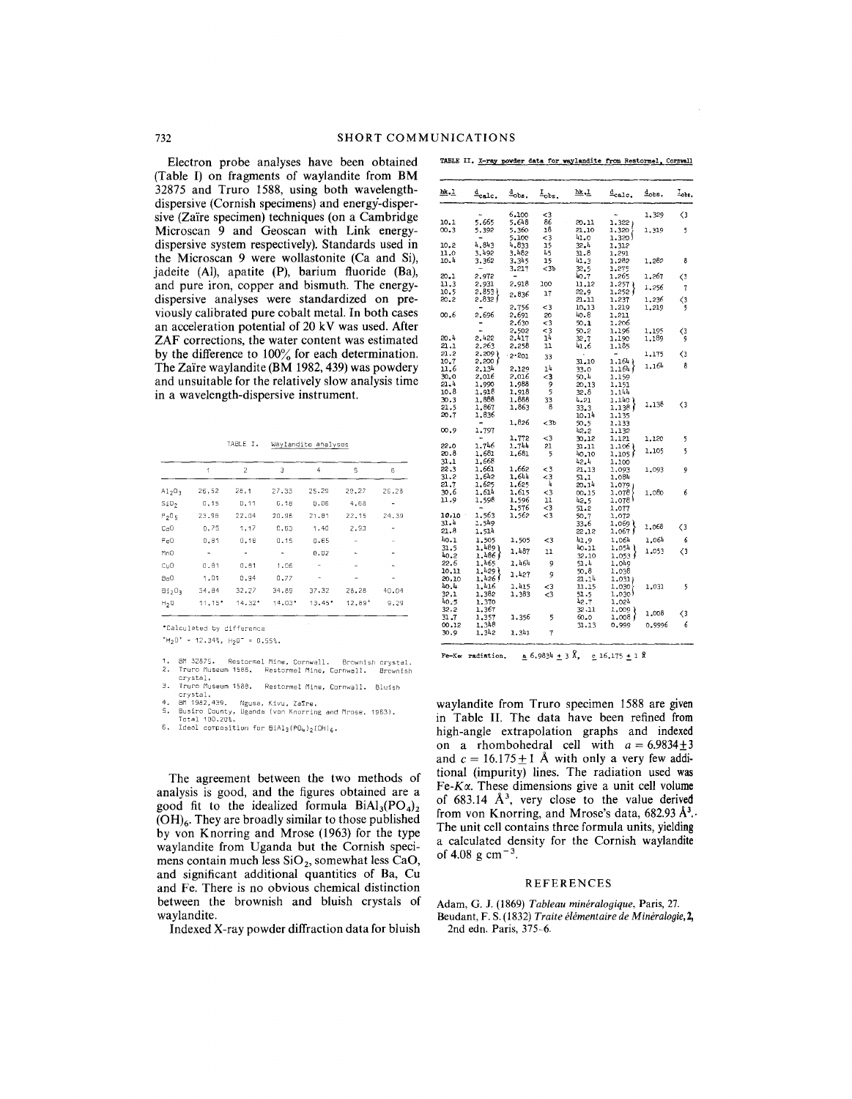Electron probe analyses have been obtained (Table I) on fragments of waylandite from BM 32875 and Truro 1588, using both wavelengthdispersive (Cornish specimens) and energy-dispersive (Zaire specimen) techniques (on a Cambridge Microscan 9 and Geoscan with Link energydispersive system respectively). Standards used in the Microscan 9 were wollastonite (Ca and Si), jadeite (AI), apatite (P), barium fluoride (Ba), and pure iron, copper and bismuth. The energydispersive analyses were standardized on previously calibrated pure cobalt metal. In both cases an acceleration potential of 20 kV was used. After ZAF corrections, the water content was estimated by the difference to 100% for each determination. The Zaire waylandite (BM 1982,439) was powdery and unsuitable for the relatively slow analysis time in a wavelength-dispersive instrument.

TABLE I. Waylandite analyses

|                                | 1        | $\overline{2}$ | Э        | 4        | 5        | 6     |
|--------------------------------|----------|----------------|----------|----------|----------|-------|
| A1203                          | 26.52    | 28.1           | 27,33    | 25.29    | 29.27    | 26.25 |
| SiO,                           | 0.15     | 0.11           | 6.18     | 0.06     | 4.68     |       |
| $P_2O_5$                       | 23.96    | 22.04          | 20.96    | 21.81    | 22.15    | 24.39 |
| Ca <sub>0</sub>                | 0.75     | 1.17           | 0.63     | 1.40     | 2.93     |       |
| Fe0                            | 0.81     | 0.18           | 0.15     | 0.65     | ٠        |       |
| MnO                            | ۰        | ٠              |          | 0.02     | ۰        |       |
| CuQ                            | 0.81     | 0.81           | 1.06     |          |          |       |
| 8aO                            | 1.01     | 0.94           | 0.77     | ٠        |          |       |
| Bi <sub>2</sub> O <sub>3</sub> | 34.84    | 32.27          | 34.89    | 37,32    | 28.28    | 40.04 |
| H <sub>2</sub>                 | $11.15*$ | $14.32*$       | $14.03*$ | $13.45*$ | $12.89+$ | 9.29  |

.Calculated by difference

+HzO+ 12.34%, HZO- 0.55%.

- 1. 8M 32875. Restormel Mine, Cornwall. Brownish crystal. 2. Truro Museum 1586. Restormel Mine, Cornwall. Brownish
- crystal.<br>3. Truro Museum 1588. Restormel Mine, Cornwall. Bluis
- 
- 4. BM 1982,439. Ngusa, Kivu, Zaīre.<br>5. Busiro County, Uganda (von Knorring and Mrose, 1963<br> Total 100.20%.
- 6. Ideal composition for  $BIA1_3(P0_4)_2(OH)_6$ .

The agreement between the two methods of analysis is good, and the figures obtained are a good fit to the idealized formula  $BiAl<sub>3</sub>(PO<sub>4</sub>)<sub>2</sub>$  $(OH)<sub>6</sub>$ . They are broadly similar to those published by von Knorring and Mrose (1963) for the type waylandite from Uganda but the Cornish specimens contain much less  $SiO<sub>2</sub>$ , somewhat less CaO, and significant additional quantities of Ba, Cu and Fe. There is no obvious chemical distinction between the brownish and bluish crystals of waylandite.

Indexed X-ray powder diffraction data for bluish

|  |  |  |  |  |  | TABLE II. X-ray powder data for waylandite from Restormel, Cornwall |  |  |  |
|--|--|--|--|--|--|---------------------------------------------------------------------|--|--|--|
|--|--|--|--|--|--|---------------------------------------------------------------------|--|--|--|

| hk.1  | $\frac{d}{2}$ calc. | $\frac{d}{d}$ obs. | $I_{obs}$ . | <u>hk, L</u> | $\frac{d}{2}$ calc.                                                  | $\Delta$ obs. | $_{\texttt{c}}$  |
|-------|---------------------|--------------------|-------------|--------------|----------------------------------------------------------------------|---------------|------------------|
|       |                     | 6.100              | $\leq$ 3    |              |                                                                      | 1,329         | $\langle$ 3      |
| 10.1  | 5.665               | 5.648              | 86          | 20.11        | 1.3221                                                               |               |                  |
| 00.3  | 5.392               | 5.360              | 18          | 21,10        | 1,320                                                                | 1.319         | 5                |
|       |                     | 5.100              | <3          | 41.0         | 1.320 J                                                              |               |                  |
| 10.2  | 4.843               | 4.833              | 15          | 32.4         | 1,312                                                                |               |                  |
| 11.0  | 3.492               | 3.482              | 45          | 31.8         | 1,291                                                                |               |                  |
| 10.4  | 3.362               | 3.345              | 15          | 41.3         | 1,282                                                                | 1.282         | 8                |
|       |                     | 3.217              | <3ъ         | 32.5         | 1,275                                                                |               |                  |
| 20.1  | 2,972               |                    |             | 40.7         | 1,265                                                                | 1,267         | 〈3               |
| 11.3  | 2,931               | 2.918              | 100         | 11.12        | 1.257                                                                |               |                  |
| 10.5  | 2.8531              |                    |             | 22.9         | 1,252 (                                                              | 1,256         | 7                |
| 20.2  | 2.832∫              | 2.836              | 17          | 21.11        | 1.237                                                                | 1,236         | $\langle 3$      |
|       |                     | 2,756              | <3          | 10, 13       | 1.219                                                                | 1,219         | 5                |
| 00.6  | 2.696               | 2.691              | 20          | 40.8         | 1.211                                                                |               |                  |
|       | -                   | 2.630              | $3$         | 50.1         | 1,206                                                                |               |                  |
|       |                     | 2.502              | <3          | 50.2         | 1.196                                                                | 1,195         |                  |
| 20.4  | 2.422               | 2.417              | 14          |              | 1.190                                                                | 1,189         | $\langle 3$<br>ġ |
| 21.1  | 2.263               |                    | 11          | 32.7         |                                                                      |               |                  |
| 21.2  | 5.500)              | 2.258              |             | 41.6         | 1.185                                                                |               |                  |
| 10.7  |                     | 2.201              | 33          |              | 1.164)                                                               | 1,175         | 〈3               |
|       | 2,200 f             |                    | 14          | 31,10        |                                                                      | 1.164         | 8                |
| 11.6  | 2.134               | 2,129              |             | 33.0         | 1.164f                                                               |               |                  |
| 30.0  | 2.016               | 2.016              | <3          | 50.4         | 1,159                                                                |               |                  |
| 21.4  | 1,990               | 1,988              | 9           | 20,13        | 1,151                                                                |               |                  |
| 10.8  | 1.918               | 1,918              | 5           | 32.8         | 1.144                                                                |               |                  |
| 30.3  | 1.888               | 1,888              | 33          | 4.21         | $\left\{\begin{smallmatrix} 1.140\\ 1.138 \end{smallmatrix}\right\}$ | 1,138         | $\langle 3$      |
| 21.5  | 1,867               | 1.863              | 8           | 33.3         |                                                                      |               |                  |
| 20.7  | 1,836               |                    |             | 10.14        | 1.135                                                                |               |                  |
|       |                     | 1.826              | $3b$        | 50.5         | 1,133                                                                |               |                  |
| 00.9  | 1.797               |                    |             | 42.2         | 1.132                                                                |               |                  |
|       |                     | 1,772              | $\leq$ 3    | 30.12        | 1,121                                                                | 1,120         | 5                |
| 22.0  | 1.746               | 1.744              | 21          | 31.11        | 1.106 }                                                              | 1.105         | 5                |
| 20.8  | 1.681               | 1,681              | 5           | 40.10        | 1.105f                                                               |               |                  |
| 31.1  | 1,668               |                    |             | 42.4         | 1,100                                                                |               |                  |
| 22.3  | 1,661               | 1,662              | $\leq$ 3    | 21.13        | 1,093                                                                | 1,093         | 9                |
| 31.2  | 1.642               | 1.644              | <3          | 51.1         | 1,084                                                                |               |                  |
| 21.7  | 1,625               | 1,625              | 4           | 20.14        | 1.079)                                                               |               |                  |
| 30.6  | 1.614               | 1,615              | <3          | 00.15        | 1.078                                                                | 1,080         | 6                |
| 11.9  | 1,598               | 1.596              | 11          | 42.5         | 1.078                                                                |               |                  |
|       |                     | 1,576              | <3          | 51.2         | 1.077                                                                |               |                  |
| 10,10 | 1,563               | 1,562              | <3          | 50.7         | 1,072                                                                |               |                  |
| 31.4  | 1.549               |                    |             | 33.6         | 1,069 l                                                              | 1,068         | $\langle$ 3      |
| 21.8  | 1.514               |                    |             | 22,12        | 1,067∫                                                               |               |                  |
| 40.1  | 1.505               | 1,505              | <3          | 41.9         | 1.064                                                                | 1.064         | 6                |
| 31.5  | 1.489)              |                    |             | 10.11        | 1.054 1                                                              |               | $\langle$ 3      |
| 40.2  | 1.486               | 1,487              | 11          | 32.10        | 1.053 /                                                              | 1.053         |                  |
| 22.6  | 1,465               | 1.464              | 9           | 51.4         | 1.049                                                                |               |                  |
| 10,11 | 1.429 (             |                    |             | 50.8         | 1,038                                                                |               |                  |
| 20.10 | 1,426               | 1,427              | 9           | 21.14        | 1,031)                                                               |               |                  |
| 40.4  | 1,416               | 1.415              | $\leq$ 3    | 11.15        | 1,030                                                                | 1.031         | 5                |
| 32.1  | 1,382               | 1,383              | <3          | 51.5         | 1,030)                                                               |               |                  |
| 40,5  | 1,370               |                    |             | 42.7         | 1.024                                                                |               |                  |
| 32.2  | 1.367               |                    |             | 32.11        | 1,009)                                                               |               |                  |
| 31.7  | 1,357               | 1.356              | 5           | 60.0         | 1.008                                                                | 1,008         | $\langle 3$      |
| 00.12 | 1.348               |                    |             | 31.13        | 0,999                                                                | 0.9996        | 6                |
| 30.9  | 1.342               | 1.341              | 7           |              |                                                                      |               |                  |
|       |                     |                    |             |              |                                                                      |               |                  |

Fe-K $\alpha$  radiation.  $\alpha$  6.9834  $\pm$  3  $\lambda$ , c 16.175  $\pm$  1  $\lambda$ 

waylandite from Truro specimen 1588 are given in Table II. The data have been refined from high-angle extrapolation graphs and indexed on a rhombohedral cell with  $a = 6.9834 \pm 3$ and  $c = 16.175 \pm 1$  Å with only a very few additional (impurity) lines. The radiation used was  $Fe-K\alpha$ . These dimensions give a unit cell volume of  $683.14$   $\AA$ <sup>3</sup>, very close to the value derived from von Knorring, and Mrose's data,  $682.93 \text{ Å}^3$ . The unit cell contains three formula units, yielding a calculated density for the Cornish waylandite of 4.08 g cm<sup> $-3$ </sup>.

## REFERENCES

Adam, G. J. (1869) *Tableau mineralogique,* Paris, 27. Beudant, F. S. (1832) *Traite elementaire de Mineralogie,2,* 2nd edn. Paris, 375-6.